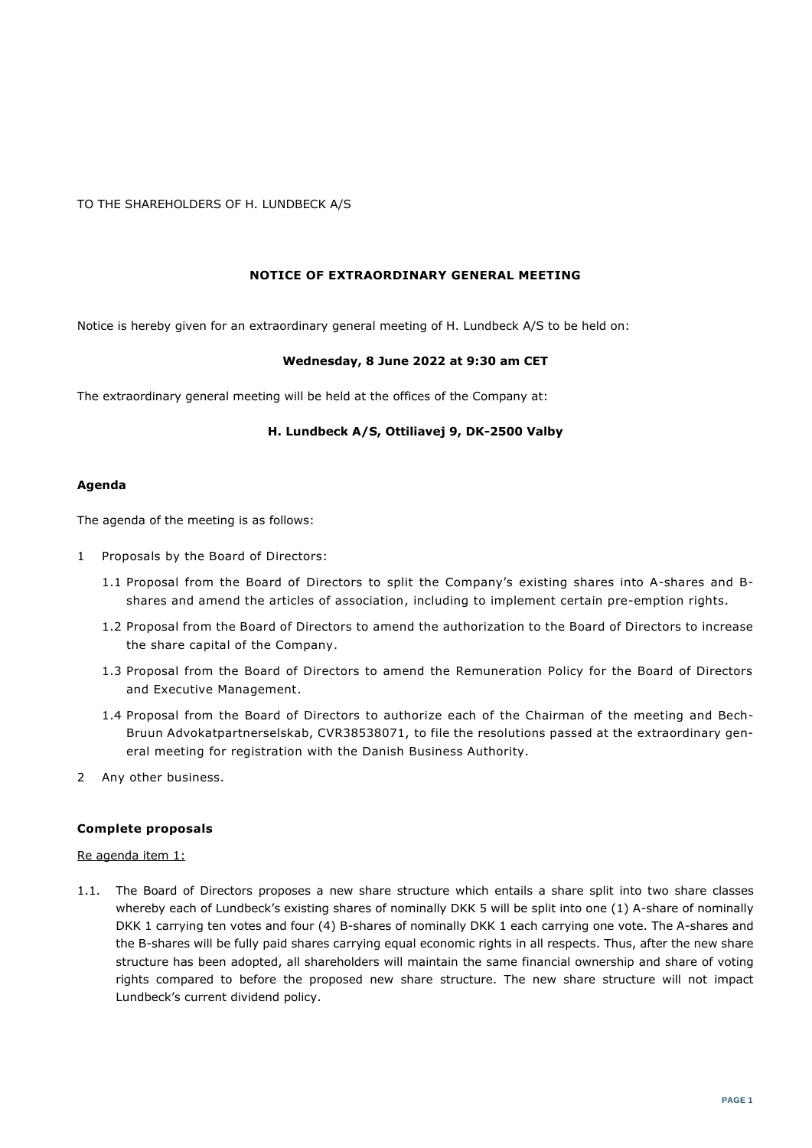TO THE SHAREHOLDERS OF H. LUNDBECK A/S

# **NOTICE OF EXTRAORDINARY GENERAL MEETING**

Notice is hereby given for an extraordinary general meeting of H. Lundbeck A/S to be held on:

#### **Wednesday, 8 June 2022 at 9:30 am CET**

The extraordinary general meeting will be held at the offices of the Company at:

#### **H. Lundbeck A/S, Ottiliavej 9, DK-2500 Valby**

#### **Agenda**

The agenda of the meeting is as follows:

- 1 Proposals by the Board of Directors:
	- 1.1 Proposal from the Board of Directors to split the Company's existing shares into A-shares and Bshares and amend the articles of association, including to implement certain pre-emption rights.
	- 1.2 Proposal from the Board of Directors to amend the authorization to the Board of Directors to increase the share capital of the Company.
	- 1.3 Proposal from the Board of Directors to amend the Remuneration Policy for the Board of Directors and Executive Management.
	- 1.4 Proposal from the Board of Directors to authorize each of the Chairman of the meeting and Bech-Bruun Advokatpartnerselskab, CVR38538071, to file the resolutions passed at the extraordinary general meeting for registration with the Danish Business Authority.
- 2 Any other business.

#### **Complete proposals**

Re agenda item 1:

1.1. The Board of Directors proposes a new share structure which entails a share split into two share classes whereby each of Lundbeck's existing shares of nominally DKK 5 will be split into one (1) A-share of nominally DKK 1 carrying ten votes and four (4) B-shares of nominally DKK 1 each carrying one vote. The A-shares and the B-shares will be fully paid shares carrying equal economic rights in all respects. Thus, after the new share structure has been adopted, all shareholders will maintain the same financial ownership and share of voting rights compared to before the proposed new share structure. The new share structure will not impact Lundbeck's current dividend policy.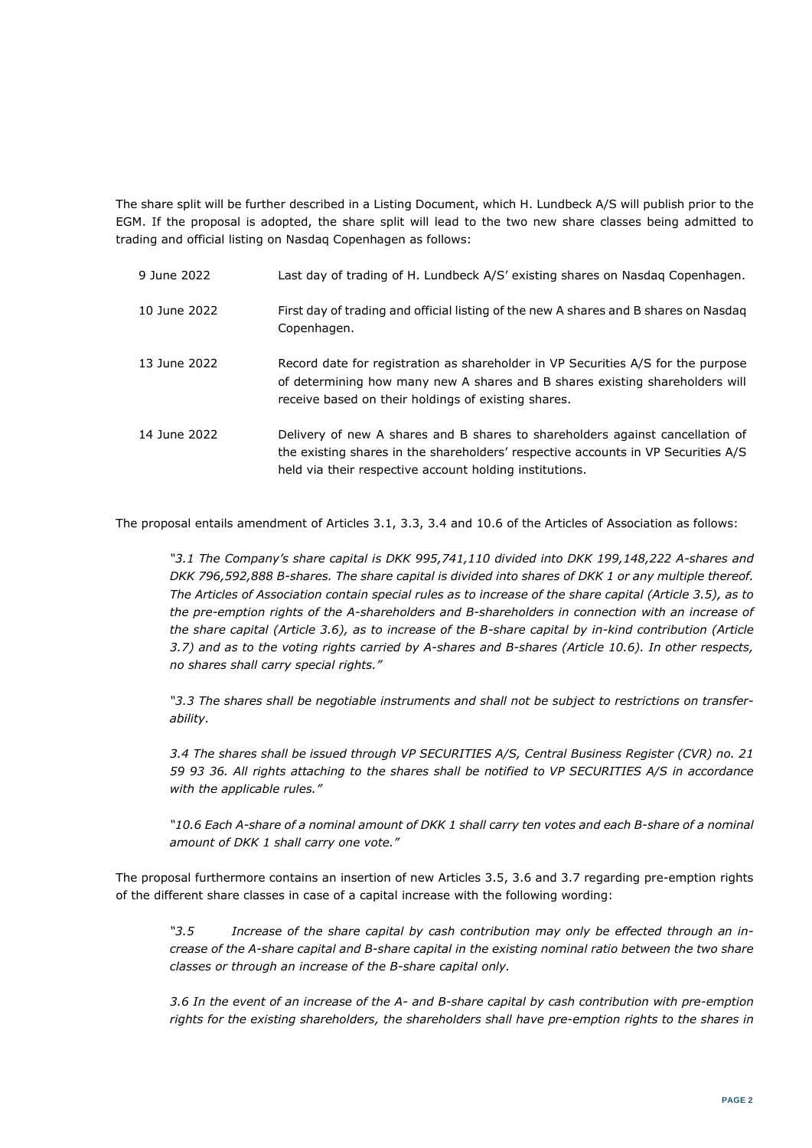The share split will be further described in a Listing Document, which H. Lundbeck A/S will publish prior to the EGM. If the proposal is adopted, the share split will lead to the two new share classes being admitted to trading and official listing on Nasdaq Copenhagen as follows:

| 9 June 2022  | Last day of trading of H. Lundbeck A/S' existing shares on Nasdaq Copenhagen.                                                                                                                                                 |
|--------------|-------------------------------------------------------------------------------------------------------------------------------------------------------------------------------------------------------------------------------|
| 10 June 2022 | First day of trading and official listing of the new A shares and B shares on Nasdaq<br>Copenhagen.                                                                                                                           |
| 13 June 2022 | Record date for registration as shareholder in VP Securities A/S for the purpose<br>of determining how many new A shares and B shares existing shareholders will<br>receive based on their holdings of existing shares.       |
| 14 June 2022 | Delivery of new A shares and B shares to shareholders against cancellation of<br>the existing shares in the shareholders' respective accounts in VP Securities A/S<br>held via their respective account holding institutions. |

The proposal entails amendment of Articles 3.1, 3.3, 3.4 and 10.6 of the Articles of Association as follows:

*"3.1 The Company's share capital is DKK 995,741,110 divided into DKK 199,148,222 A-shares and DKK 796,592,888 B-shares. The share capital is divided into shares of DKK 1 or any multiple thereof. The Articles of Association contain special rules as to increase of the share capital (Article 3.5), as to the pre-emption rights of the A-shareholders and B-shareholders in connection with an increase of the share capital (Article 3.6), as to increase of the B-share capital by in-kind contribution (Article 3.7) and as to the voting rights carried by A-shares and B-shares (Article 10.6). In other respects, no shares shall carry special rights."*

*"3.3 The shares shall be negotiable instruments and shall not be subject to restrictions on transferability.* 

*3.4 The shares shall be issued through VP SECURITIES A/S, Central Business Register (CVR) no. 21 59 93 36. All rights attaching to the shares shall be notified to VP SECURITIES A/S in accordance with the applicable rules."*

*"10.6 Each A-share of a nominal amount of DKK 1 shall carry ten votes and each B-share of a nominal amount of DKK 1 shall carry one vote."*

The proposal furthermore contains an insertion of new Articles 3.5, 3.6 and 3.7 regarding pre-emption rights of the different share classes in case of a capital increase with the following wording:

*"3.5 Increase of the share capital by cash contribution may only be effected through an increase of the A-share capital and B-share capital in the existing nominal ratio between the two share classes or through an increase of the B-share capital only.* 

*3.6 In the event of an increase of the A- and B-share capital by cash contribution with pre-emption rights for the existing shareholders, the shareholders shall have pre-emption rights to the shares in*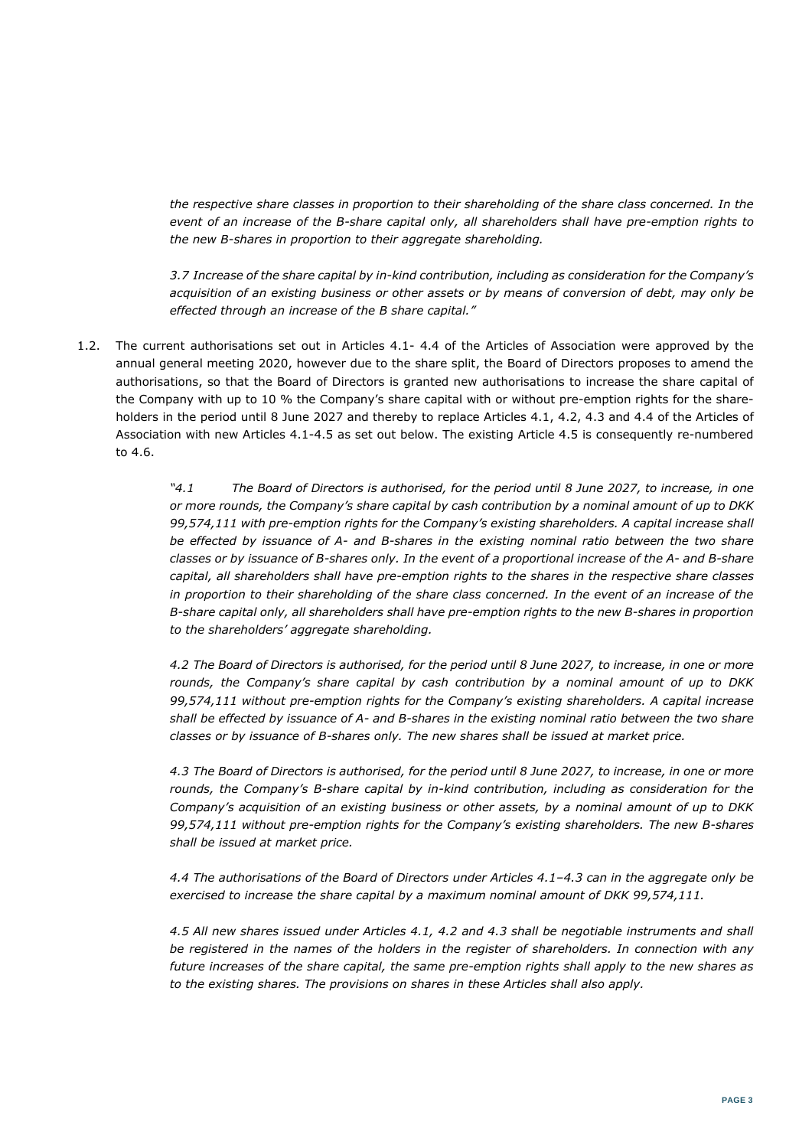*the respective share classes in proportion to their shareholding of the share class concerned. In the event of an increase of the B-share capital only, all shareholders shall have pre-emption rights to the new B-shares in proportion to their aggregate shareholding.*

*3.7 Increase of the share capital by in-kind contribution, including as consideration for the Company's acquisition of an existing business or other assets or by means of conversion of debt, may only be effected through an increase of the B share capital."*

1.2. The current authorisations set out in Articles 4.1- 4.4 of the Articles of Association were approved by the annual general meeting 2020, however due to the share split, the Board of Directors proposes to amend the authorisations, so that the Board of Directors is granted new authorisations to increase the share capital of the Company with up to 10 % the Company's share capital with or without pre-emption rights for the shareholders in the period until 8 June 2027 and thereby to replace Articles 4.1, 4.2, 4.3 and 4.4 of the Articles of Association with new Articles 4.1-4.5 as set out below. The existing Article 4.5 is consequently re-numbered to 4.6.

> *"4.1 The Board of Directors is authorised, for the period until 8 June 2027, to increase, in one or more rounds, the Company's share capital by cash contribution by a nominal amount of up to DKK 99,574,111 with pre-emption rights for the Company's existing shareholders. A capital increase shall be effected by issuance of A- and B-shares in the existing nominal ratio between the two share classes or by issuance of B-shares only. In the event of a proportional increase of the A- and B-share capital, all shareholders shall have pre-emption rights to the shares in the respective share classes in proportion to their shareholding of the share class concerned. In the event of an increase of the B-share capital only, all shareholders shall have pre-emption rights to the new B-shares in proportion to the shareholders' aggregate shareholding.*

> *4.2 The Board of Directors is authorised, for the period until 8 June 2027, to increase, in one or more rounds, the Company's share capital by cash contribution by a nominal amount of up to DKK 99,574,111 without pre-emption rights for the Company's existing shareholders. A capital increase shall be effected by issuance of A- and B-shares in the existing nominal ratio between the two share classes or by issuance of B-shares only. The new shares shall be issued at market price.*

> *4.3 The Board of Directors is authorised, for the period until 8 June 2027, to increase, in one or more rounds, the Company's B-share capital by in-kind contribution, including as consideration for the Company's acquisition of an existing business or other assets, by a nominal amount of up to DKK 99,574,111 without pre-emption rights for the Company's existing shareholders. The new B-shares shall be issued at market price.*

> *4.4 The authorisations of the Board of Directors under Articles 4.1–4.3 can in the aggregate only be exercised to increase the share capital by a maximum nominal amount of DKK 99,574,111.*

> *4.5 All new shares issued under Articles 4.1, 4.2 and 4.3 shall be negotiable instruments and shall be registered in the names of the holders in the register of shareholders. In connection with any future increases of the share capital, the same pre-emption rights shall apply to the new shares as to the existing shares. The provisions on shares in these Articles shall also apply.*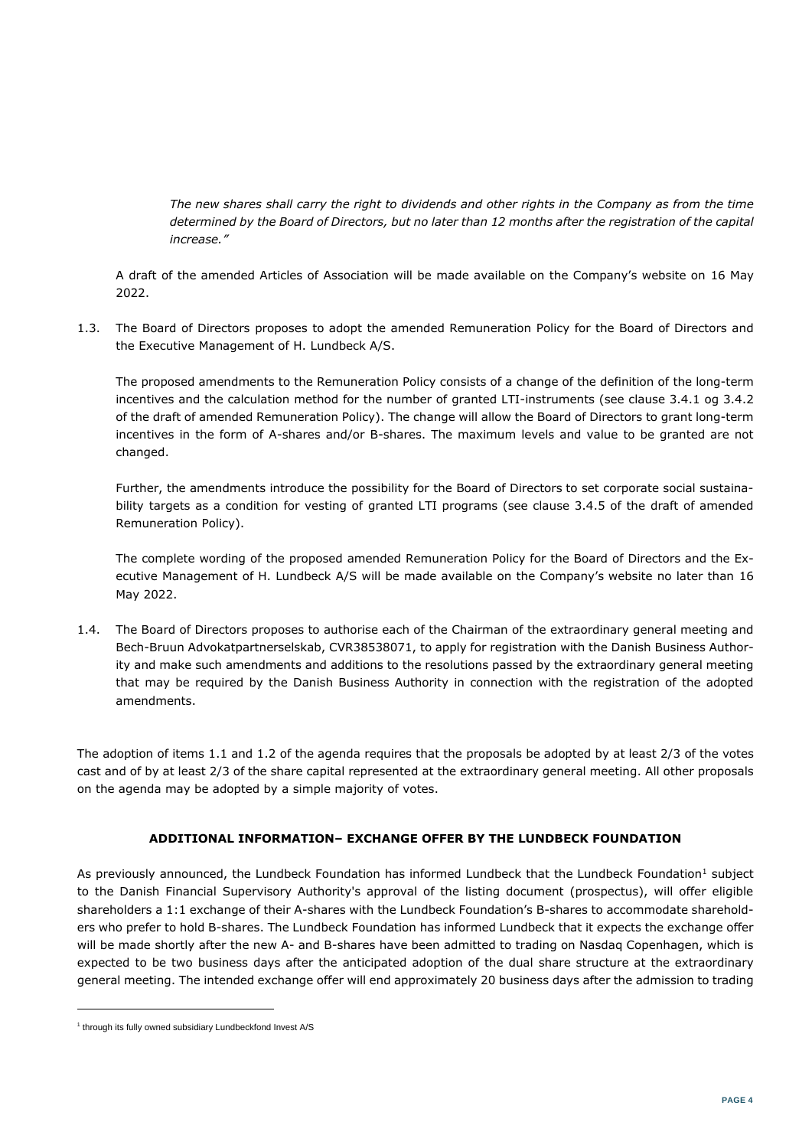*The new shares shall carry the right to dividends and other rights in the Company as from the time determined by the Board of Directors, but no later than 12 months after the registration of the capital increase."*

A draft of the amended Articles of Association will be made available on the Company's website on 16 May 2022.

1.3. The Board of Directors proposes to adopt the amended Remuneration Policy for the Board of Directors and the Executive Management of H. Lundbeck A/S.

The proposed amendments to the Remuneration Policy consists of a change of the definition of the long-term incentives and the calculation method for the number of granted LTI-instruments (see clause 3.4.1 og 3.4.2 of the draft of amended Remuneration Policy). The change will allow the Board of Directors to grant long-term incentives in the form of A-shares and/or B-shares. The maximum levels and value to be granted are not changed.

Further, the amendments introduce the possibility for the Board of Directors to set corporate social sustainability targets as a condition for vesting of granted LTI programs (see clause 3.4.5 of the draft of amended Remuneration Policy).

The complete wording of the proposed amended Remuneration Policy for the Board of Directors and the Executive Management of H. Lundbeck A/S will be made available on the Company's website no later than 16 May 2022.

1.4. The Board of Directors proposes to authorise each of the Chairman of the extraordinary general meeting and Bech-Bruun Advokatpartnerselskab, CVR38538071, to apply for registration with the Danish Business Authority and make such amendments and additions to the resolutions passed by the extraordinary general meeting that may be required by the Danish Business Authority in connection with the registration of the adopted amendments.

The adoption of items 1.1 and 1.2 of the agenda requires that the proposals be adopted by at least 2/3 of the votes cast and of by at least 2/3 of the share capital represented at the extraordinary general meeting. All other proposals on the agenda may be adopted by a simple majority of votes.

# **ADDITIONAL INFORMATION– EXCHANGE OFFER BY THE LUNDBECK FOUNDATION**

As previously announced, the Lundbeck Foundation has informed Lundbeck that the Lundbeck Foundation<sup>1</sup> subject to the Danish Financial Supervisory Authority's approval of the listing document (prospectus), will offer eligible shareholders a 1:1 exchange of their A-shares with the Lundbeck Foundation's B-shares to accommodate shareholders who prefer to hold B-shares. The Lundbeck Foundation has informed Lundbeck that it expects the exchange offer will be made shortly after the new A- and B-shares have been admitted to trading on Nasdaq Copenhagen, which is expected to be two business days after the anticipated adoption of the dual share structure at the extraordinary general meeting. The intended exchange offer will end approximately 20 business days after the admission to trading

<sup>&</sup>lt;sup>1</sup> through its fully owned subsidiary Lundbeckfond Invest A/S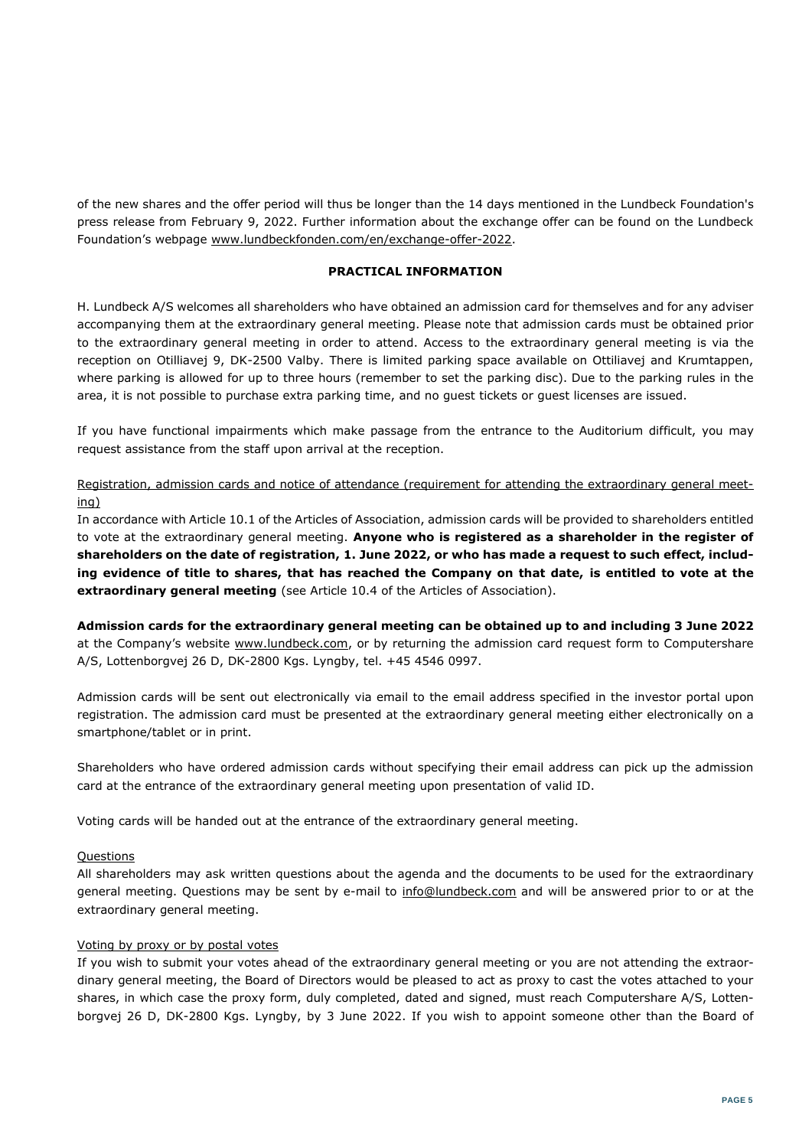of the new shares and the offer period will thus be longer than the 14 days mentioned in the Lundbeck Foundation's press release from February 9, 2022. Further information about the exchange offer can be found on the Lundbeck Foundation's webpage [www.lundbeckfonden.com/en/exchange-offer-2022.](https://eur01.safelinks.protection.outlook.com/?url=http%3A%2F%2Fwww.lundbeckfonden.com%2Fen%2Fexchange-offer-2022&data=05%7C01%7CJAQM%40lundbeck.com%7C97f657a9318b44054be408da335a0b21%7Cca625151ac0044419024c88fad6084da%7C0%7C0%7C637878759090392113%7CUnknown%7CTWFpbGZsb3d8eyJWIjoiMC4wLjAwMDAiLCJQIjoiV2luMzIiLCJBTiI6Ik1haWwiLCJXVCI6Mn0%3D%7C3000%7C%7C%7C&sdata=1xM9YxEwIPPaf8XxIr9srVmIettpKDQLZobRzpj%2Fp4c%3D&reserved=0)

### **PRACTICAL INFORMATION**

H. Lundbeck A/S welcomes all shareholders who have obtained an admission card for themselves and for any adviser accompanying them at the extraordinary general meeting. Please note that admission cards must be obtained prior to the extraordinary general meeting in order to attend. Access to the extraordinary general meeting is via the reception on Otilliavej 9, DK-2500 Valby. There is limited parking space available on Ottiliavej and Krumtappen, where parking is allowed for up to three hours (remember to set the parking disc). Due to the parking rules in the area, it is not possible to purchase extra parking time, and no guest tickets or guest licenses are issued.

If you have functional impairments which make passage from the entrance to the Auditorium difficult, you may request assistance from the staff upon arrival at the reception.

Registration, admission cards and notice of attendance (requirement for attending the extraordinary general meeting)

In accordance with Article 10.1 of the Articles of Association, admission cards will be provided to shareholders entitled to vote at the extraordinary general meeting. **Anyone who is registered as a shareholder in the register of shareholders on the date of registration, 1. June 2022, or who has made a request to such effect, including evidence of title to shares, that has reached the Company on that date, is entitled to vote at the extraordinary general meeting** (see Article 10.4 of the Articles of Association).

**Admission cards for the extraordinary general meeting can be obtained up to and including 3 June 2022** at the Company's website www.lundbeck.com, or by returning the admission card request form to Computershare A/S, Lottenborgvej 26 D, DK-2800 Kgs. Lyngby, tel. +45 4546 0997.

Admission cards will be sent out electronically via email to the email address specified in the investor portal upon registration. The admission card must be presented at the extraordinary general meeting either electronically on a smartphone/tablet or in print.

Shareholders who have ordered admission cards without specifying their email address can pick up the admission card at the entrance of the extraordinary general meeting upon presentation of valid ID.

Voting cards will be handed out at the entrance of the extraordinary general meeting.

#### **Questions**

All shareholders may ask written questions about the agenda and the documents to be used for the extraordinary general meeting. Questions may be sent by e-mail to info@lundbeck.com and will be answered prior to or at the extraordinary general meeting.

#### Voting by proxy or by postal votes

If you wish to submit your votes ahead of the extraordinary general meeting or you are not attending the extraordinary general meeting, the Board of Directors would be pleased to act as proxy to cast the votes attached to your shares, in which case the proxy form, duly completed, dated and signed, must reach Computershare A/S, Lottenborgvej 26 D, DK-2800 Kgs. Lyngby, by 3 June 2022. If you wish to appoint someone other than the Board of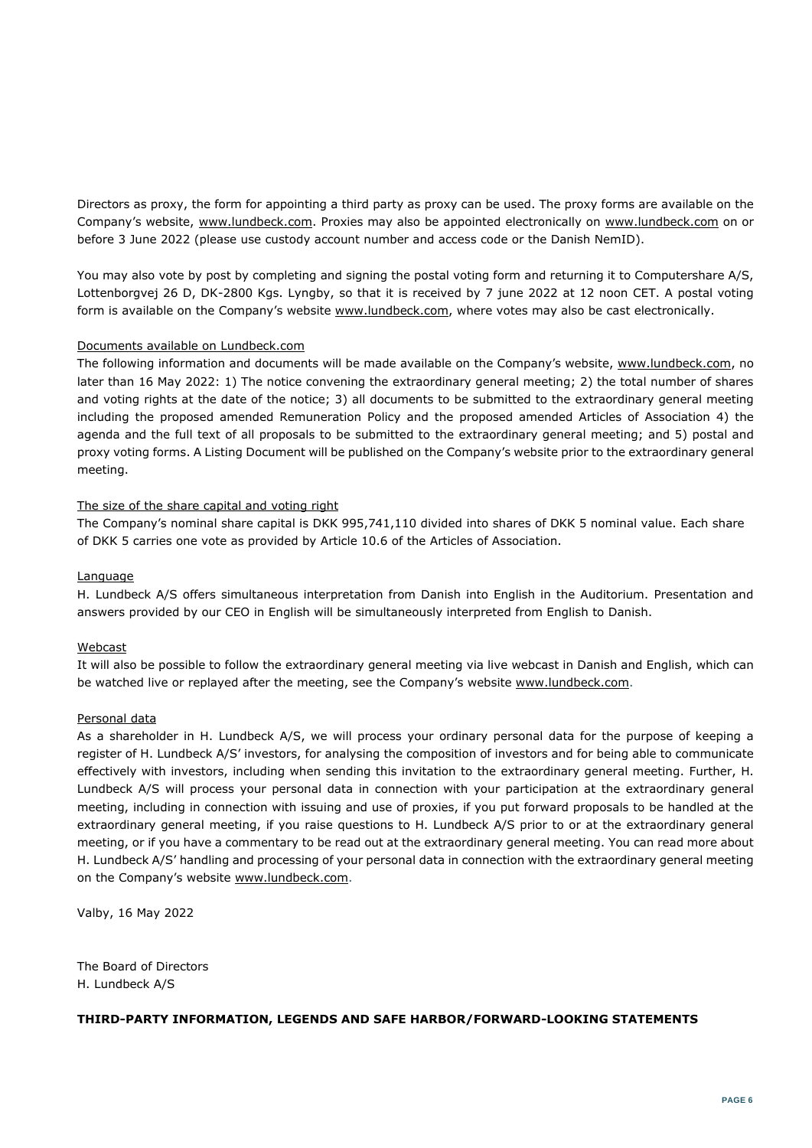Directors as proxy, the form for appointing a third party as proxy can be used. The proxy forms are available on the Company's website, www.lundbeck.com. Proxies may also be appointed electronically on www.lundbeck.com on or before 3 June 2022 (please use custody account number and access code or the Danish NemID).

You may also vote by post by completing and signing the postal voting form and returning it to Computershare A/S, Lottenborgvej 26 D, DK-2800 Kgs. Lyngby, so that it is received by 7 june 2022 at 12 noon CET. A postal voting form is available on the Company's website www.lundbeck.com, where votes may also be cast electronically.

# Documents available on Lundbeck.com

The following information and documents will be made available on the Company's website, www.lundbeck.com, no later than 16 May 2022: 1) The notice convening the extraordinary general meeting; 2) the total number of shares and voting rights at the date of the notice; 3) all documents to be submitted to the extraordinary general meeting including the proposed amended Remuneration Policy and the proposed amended Articles of Association 4) the agenda and the full text of all proposals to be submitted to the extraordinary general meeting; and 5) postal and proxy voting forms. A Listing Document will be published on the Company's website prior to the extraordinary general meeting.

## The size of the share capital and voting right

The Company's nominal share capital is DKK 995,741,110 divided into shares of DKK 5 nominal value. Each share of DKK 5 carries one vote as provided by Article 10.6 of the Articles of Association.

### Language

H. Lundbeck A/S offers simultaneous interpretation from Danish into English in the Auditorium. Presentation and answers provided by our CEO in English will be simultaneously interpreted from English to Danish.

### Webcast

It will also be possible to follow the extraordinary general meeting via live webcast in Danish and English, which can be watched live or replayed after the meeting, see the Company's website www.lundbeck.com.

#### Personal data

As a shareholder in H. Lundbeck A/S, we will process your ordinary personal data for the purpose of keeping a register of H. Lundbeck A/S' investors, for analysing the composition of investors and for being able to communicate effectively with investors, including when sending this invitation to the extraordinary general meeting. Further, H. Lundbeck A/S will process your personal data in connection with your participation at the extraordinary general meeting, including in connection with issuing and use of proxies, if you put forward proposals to be handled at the extraordinary general meeting, if you raise questions to H. Lundbeck A/S prior to or at the extraordinary general meeting, or if you have a commentary to be read out at the extraordinary general meeting. You can read more about H. Lundbeck A/S' handling and processing of your personal data in connection with the extraordinary general meeting on the Company's website www.lundbeck.com.

Valby, 16 May 2022

The Board of Directors H. Lundbeck A/S

#### **THIRD-PARTY INFORMATION, LEGENDS AND SAFE HARBOR/FORWARD-LOOKING STATEMENTS**